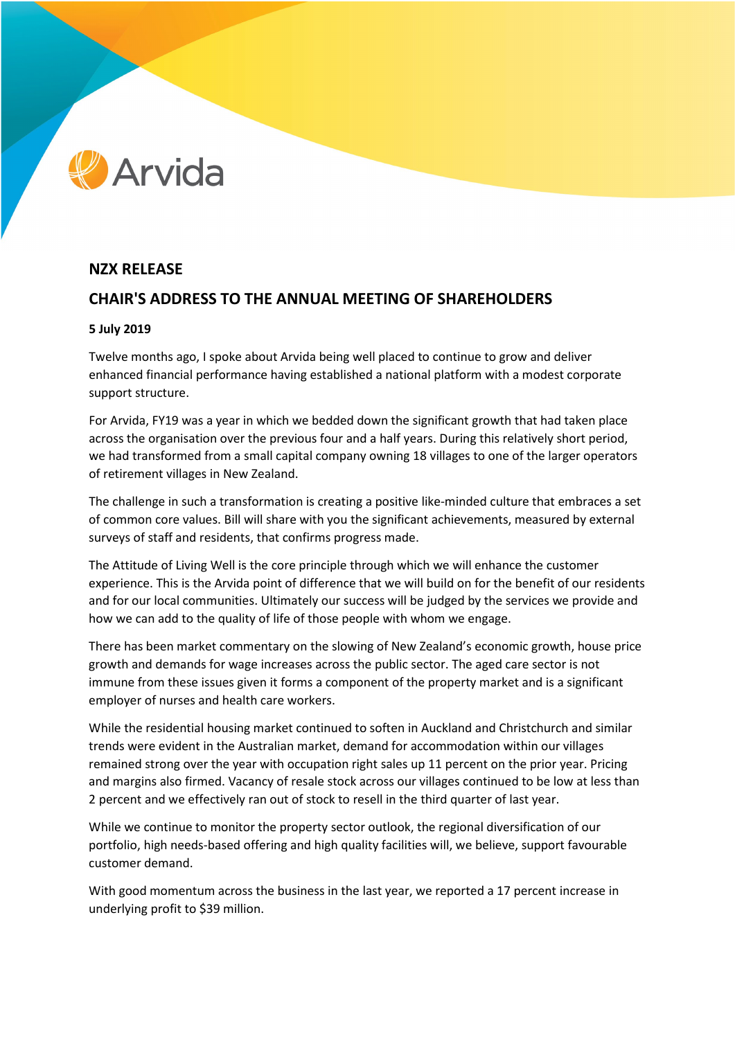# Arvida

# **NZX RELEASE**

## **CHAIR'S ADDRESS TO THE ANNUAL MEETING OF SHAREHOLDERS**

## **5 July 2019**

Twelve months ago, I spoke about Arvida being well placed to continue to grow and deliver enhanced financial performance having established a national platform with a modest corporate support structure.

For Arvida, FY19 was a year in which we bedded down the significant growth that had taken place across the organisation over the previous four and a half years. During this relatively short period, we had transformed from a small capital company owning 18 villages to one of the larger operators of retirement villages in New Zealand.

The challenge in such a transformation is creating a positive like-minded culture that embraces a set of common core values. Bill will share with you the significant achievements, measured by external surveys of staff and residents, that confirms progress made.

The Attitude of Living Well is the core principle through which we will enhance the customer experience. This is the Arvida point of difference that we will build on for the benefit of our residents and for our local communities. Ultimately our success will be judged by the services we provide and how we can add to the quality of life of those people with whom we engage.

There has been market commentary on the slowing of New Zealand's economic growth, house price growth and demands for wage increases across the public sector. The aged care sector is not immune from these issues given it forms a component of the property market and is a significant employer of nurses and health care workers.

While the residential housing market continued to soften in Auckland and Christchurch and similar trends were evident in the Australian market, demand for accommodation within our villages remained strong over the year with occupation right sales up 11 percent on the prior year. Pricing and margins also firmed. Vacancy of resale stock across our villages continued to be low at less than 2 percent and we effectively ran out of stock to resell in the third quarter of last year.

While we continue to monitor the property sector outlook, the regional diversification of our portfolio, high needs-based offering and high quality facilities will, we believe, support favourable customer demand.

With good momentum across the business in the last year, we reported a 17 percent increase in underlying profit to \$39 million.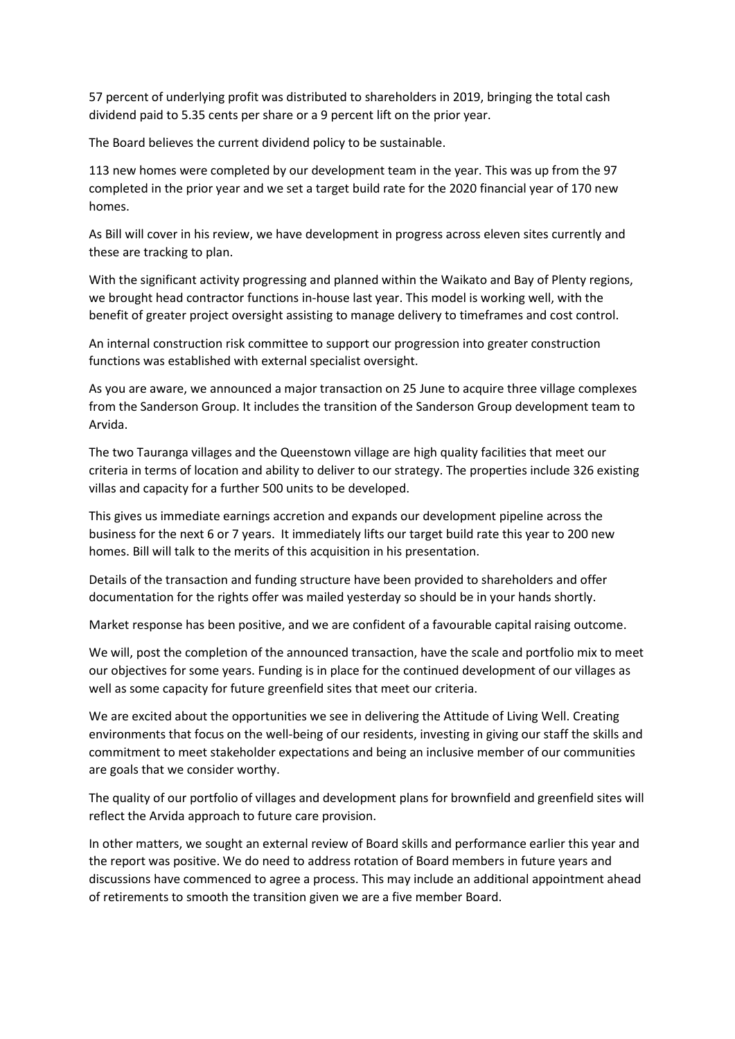57 percent of underlying profit was distributed to shareholders in 2019, bringing the total cash dividend paid to 5.35 cents per share or a 9 percent lift on the prior year.

The Board believes the current dividend policy to be sustainable.

113 new homes were completed by our development team in the year. This was up from the 97 completed in the prior year and we set a target build rate for the 2020 financial year of 170 new homes.

As Bill will cover in his review, we have development in progress across eleven sites currently and these are tracking to plan.

With the significant activity progressing and planned within the Waikato and Bay of Plenty regions, we brought head contractor functions in-house last year. This model is working well, with the benefit of greater project oversight assisting to manage delivery to timeframes and cost control.

An internal construction risk committee to support our progression into greater construction functions was established with external specialist oversight.

As you are aware, we announced a major transaction on 25 June to acquire three village complexes from the Sanderson Group. It includes the transition of the Sanderson Group development team to Arvida.

The two Tauranga villages and the Queenstown village are high quality facilities that meet our criteria in terms of location and ability to deliver to our strategy. The properties include 326 existing villas and capacity for a further 500 units to be developed.

This gives us immediate earnings accretion and expands our development pipeline across the business for the next 6 or 7 years. It immediately lifts our target build rate this year to 200 new homes. Bill will talk to the merits of this acquisition in his presentation.

Details of the transaction and funding structure have been provided to shareholders and offer documentation for the rights offer was mailed yesterday so should be in your hands shortly.

Market response has been positive, and we are confident of a favourable capital raising outcome.

We will, post the completion of the announced transaction, have the scale and portfolio mix to meet our objectives for some years. Funding is in place for the continued development of our villages as well as some capacity for future greenfield sites that meet our criteria.

We are excited about the opportunities we see in delivering the Attitude of Living Well. Creating environments that focus on the well-being of our residents, investing in giving our staff the skills and commitment to meet stakeholder expectations and being an inclusive member of our communities are goals that we consider worthy.

The quality of our portfolio of villages and development plans for brownfield and greenfield sites will reflect the Arvida approach to future care provision.

In other matters, we sought an external review of Board skills and performance earlier this year and the report was positive. We do need to address rotation of Board members in future years and discussions have commenced to agree a process. This may include an additional appointment ahead of retirements to smooth the transition given we are a five member Board.